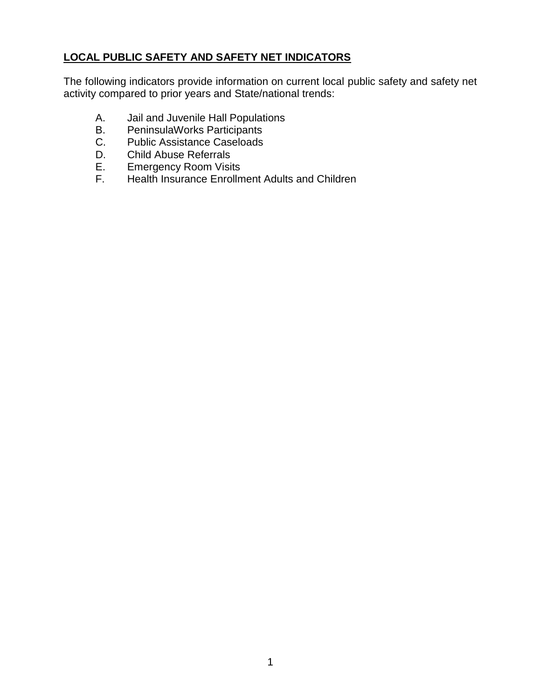# **LOCAL PUBLIC SAFETY AND SAFETY NET INDICATORS**

The following indicators provide information on current local public safety and safety net activity compared to prior years and State/national trends:

- A. Jail and Juvenile Hall Populations
- B. PeninsulaWorks Participants
- C. Public Assistance Caseloads
- D. Child Abuse Referrals
- E. Emergency Room Visits
- F. Health Insurance Enrollment Adults and Children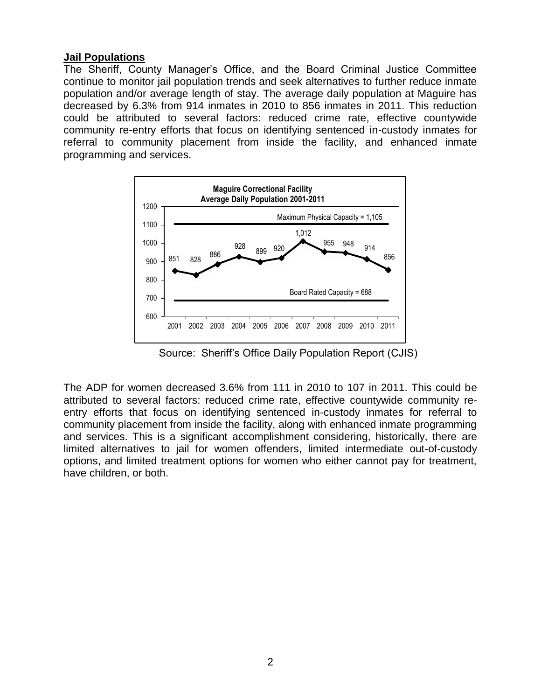#### **Jail Populations**

The Sheriff, County Manager's Office, and the Board Criminal Justice Committee continue to monitor jail population trends and seek alternatives to further reduce inmate population and/or average length of stay. The average daily population at Maguire has decreased by 6.3% from 914 inmates in 2010 to 856 inmates in 2011. This reduction could be attributed to several factors: reduced crime rate, effective countywide community re-entry efforts that focus on identifying sentenced in-custody inmates for referral to community placement from inside the facility, and enhanced inmate programming and services.



Source: Sheriff's Office Daily Population Report (CJIS)

The ADP for women decreased 3.6% from 111 in 2010 to 107 in 2011. This could be attributed to several factors: reduced crime rate, effective countywide community reentry efforts that focus on identifying sentenced in-custody inmates for referral to community placement from inside the facility, along with enhanced inmate programming and services. This is a significant accomplishment considering, historically, there are limited alternatives to jail for women offenders, limited intermediate out-of-custody options, and limited treatment options for women who either cannot pay for treatment, have children, or both.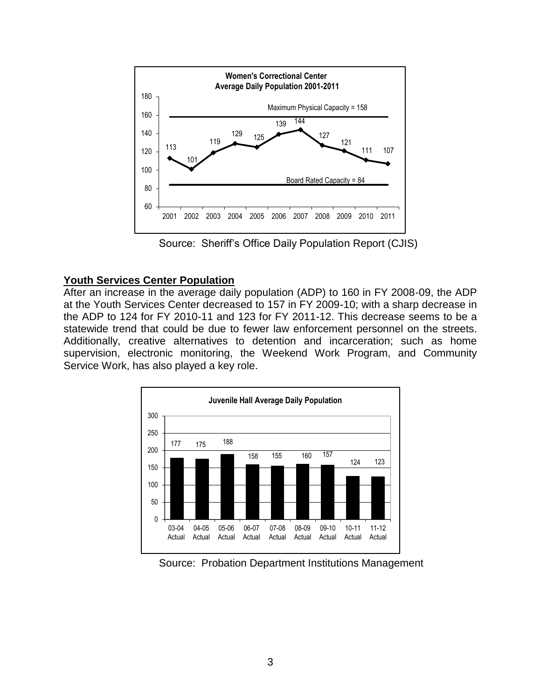

Source: Sheriff's Office Daily Population Report (CJIS)

## **Youth Services Center Population**

After an increase in the average daily population (ADP) to 160 in FY 2008-09, the ADP at the Youth Services Center decreased to 157 in FY 2009-10; with a sharp decrease in the ADP to 124 for FY 2010-11 and 123 for FY 2011-12. This decrease seems to be a statewide trend that could be due to fewer law enforcement personnel on the streets. Additionally, creative alternatives to detention and incarceration; such as home supervision, electronic monitoring, the Weekend Work Program, and Community Service Work, has also played a key role.



Source: Probation Department Institutions Management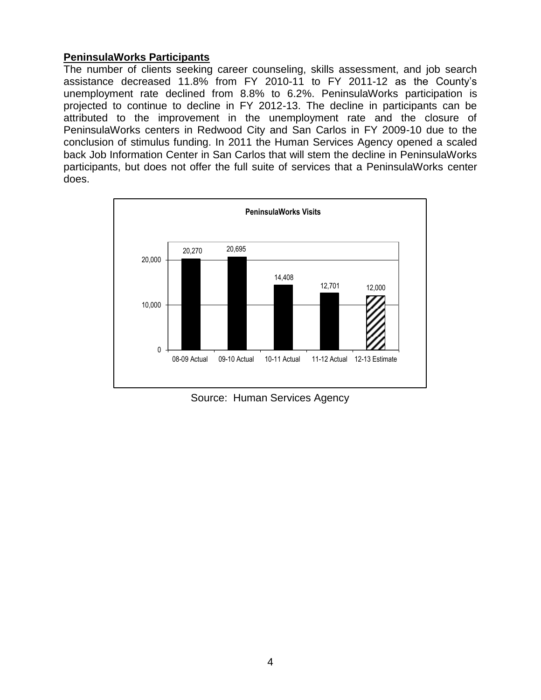## **PeninsulaWorks Participants**

The number of clients seeking career counseling, skills assessment, and job search assistance decreased 11.8% from FY 2010-11 to FY 2011-12 as the County's unemployment rate declined from 8.8% to 6.2%. PeninsulaWorks participation is projected to continue to decline in FY 2012-13. The decline in participants can be attributed to the improvement in the unemployment rate and the closure of PeninsulaWorks centers in Redwood City and San Carlos in FY 2009-10 due to the conclusion of stimulus funding. In 2011 the Human Services Agency opened a scaled back Job Information Center in San Carlos that will stem the decline in PeninsulaWorks participants, but does not offer the full suite of services that a PeninsulaWorks center does.



Source: Human Services Agency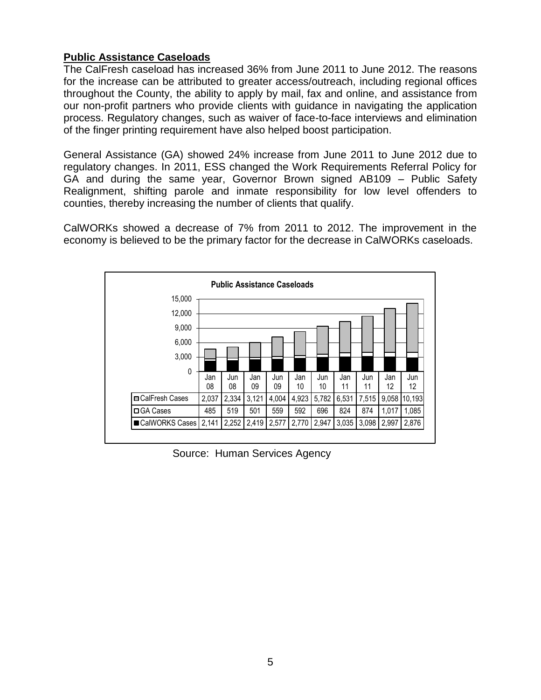## **Public Assistance Caseloads**

The CalFresh caseload has increased 36% from June 2011 to June 2012. The reasons for the increase can be attributed to greater access/outreach, including regional offices throughout the County, the ability to apply by mail, fax and online, and assistance from our non-profit partners who provide clients with guidance in navigating the application process. Regulatory changes, such as waiver of face-to-face interviews and elimination of the finger printing requirement have also helped boost participation.

General Assistance (GA) showed 24% increase from June 2011 to June 2012 due to regulatory changes. In 2011, ESS changed the Work Requirements Referral Policy for GA and during the same year, Governor Brown signed AB109 – Public Safety Realignment, shifting parole and inmate responsibility for low level offenders to counties, thereby increasing the number of clients that qualify.

CalWORKs showed a decrease of 7% from 2011 to 2012. The improvement in the economy is believed to be the primary factor for the decrease in CalWORKs caseloads.



Source: Human Services Agency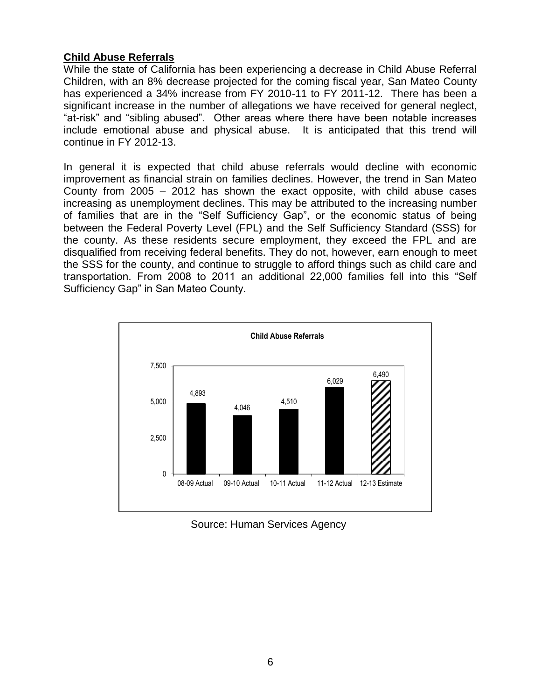## **Child Abuse Referrals**

While the state of California has been experiencing a decrease in Child Abuse Referral Children, with an 8% decrease projected for the coming fiscal year, San Mateo County has experienced a 34% increase from FY 2010-11 to FY 2011-12. There has been a significant increase in the number of allegations we have received for general neglect, "at-risk" and "sibling abused". Other areas where there have been notable increases include emotional abuse and physical abuse. It is anticipated that this trend will continue in FY 2012-13.

In general it is expected that child abuse referrals would decline with economic improvement as financial strain on families declines. However, the trend in San Mateo County from 2005 – 2012 has shown the exact opposite, with child abuse cases increasing as unemployment declines. This may be attributed to the increasing number of families that are in the "Self Sufficiency Gap", or the economic status of being between the Federal Poverty Level (FPL) and the Self Sufficiency Standard (SSS) for the county. As these residents secure employment, they exceed the FPL and are disqualified from receiving federal benefits. They do not, however, earn enough to meet the SSS for the county, and continue to struggle to afford things such as child care and transportation. From 2008 to 2011 an additional 22,000 families fell into this "Self Sufficiency Gap" in San Mateo County.



Source: Human Services Agency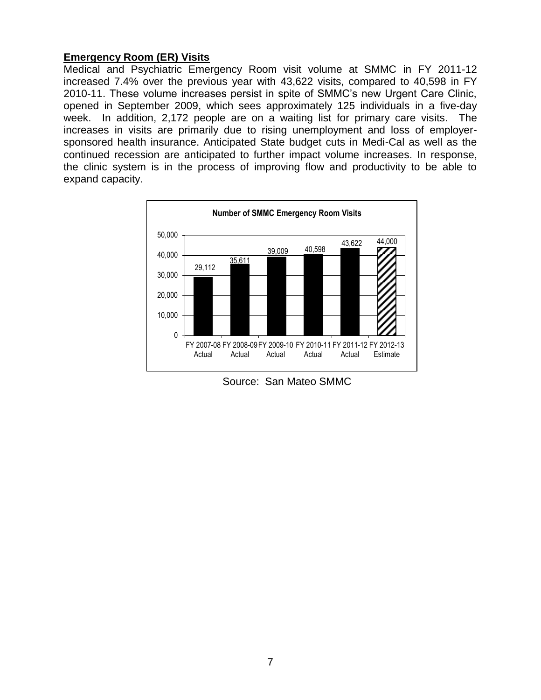## **Emergency Room (ER) Visits**

Medical and Psychiatric Emergency Room visit volume at SMMC in FY 2011-12 increased 7.4% over the previous year with 43,622 visits, compared to 40,598 in FY 2010-11. These volume increases persist in spite of SMMC's new Urgent Care Clinic, opened in September 2009, which sees approximately 125 individuals in a five-day week. In addition, 2,172 people are on a waiting list for primary care visits. The increases in visits are primarily due to rising unemployment and loss of employersponsored health insurance. Anticipated State budget cuts in Medi-Cal as well as the continued recession are anticipated to further impact volume increases. In response, the clinic system is in the process of improving flow and productivity to be able to expand capacity.



Source: San Mateo SMMC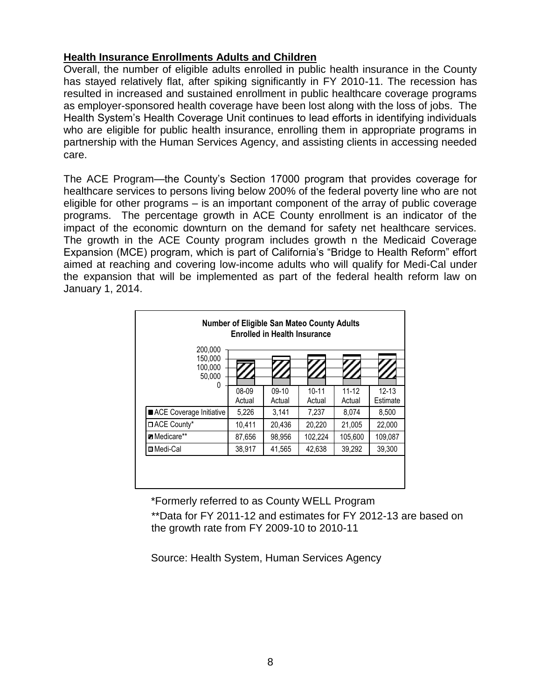## **Health Insurance Enrollments Adults and Children**

Overall, the number of eligible adults enrolled in public health insurance in the County has stayed relatively flat, after spiking significantly in FY 2010-11. The recession has resulted in increased and sustained enrollment in public healthcare coverage programs as employer-sponsored health coverage have been lost along with the loss of jobs. The Health System's Health Coverage Unit continues to lead efforts in identifying individuals who are eligible for public health insurance, enrolling them in appropriate programs in partnership with the Human Services Agency, and assisting clients in accessing needed care.

The ACE Program—the County's Section 17000 program that provides coverage for healthcare services to persons living below 200% of the federal poverty line who are not eligible for other programs – is an important component of the array of public coverage programs. The percentage growth in ACE County enrollment is an indicator of the impact of the economic downturn on the demand for safety net healthcare services. The growth in the ACE County program includes growth n the Medicaid Coverage Expansion (MCE) program, which is part of California's "Bridge to Health Reform" effort aimed at reaching and covering low-income adults who will qualify for Medi-Cal under the expansion that will be implemented as part of the federal health reform law on January 1, 2014.

| <b>Number of Eligible San Mateo County Adults</b><br><b>Enrolled in Health Insurance</b> |                 |                   |                     |                     |                       |
|------------------------------------------------------------------------------------------|-----------------|-------------------|---------------------|---------------------|-----------------------|
| 200,000<br>150,000<br>100,000<br>50,000<br>0                                             |                 |                   |                     |                     |                       |
|                                                                                          | 08-09<br>Actual | $09-10$<br>Actual | $10 - 11$<br>Actual | $11 - 12$<br>Actual | $12 - 13$<br>Estimate |
| ACE Coverage Initiative                                                                  | 5,226           | 3,141             | 7,237               | 8,074               | 8,500                 |
| □ ACE County*                                                                            | 10,411          | 20,436            | 20.220              | 21.005              | 22,000                |
| <b>Z</b> Medicare**                                                                      | 87,656          | 98,956            | 102,224             | 105,600             | 109,087               |
| <b>□</b> Medi-Cal                                                                        | 38,917          | 41,565            | 42,638              | 39,292              | 39,300                |
|                                                                                          |                 |                   |                     |                     |                       |

\*Formerly referred to as County WELL Program

\*\*Data for FY 2011-12 and estimates for FY 2012-13 are based on the growth rate from FY 2009-10 to 2010-11

Source: Health System, Human Services Agency